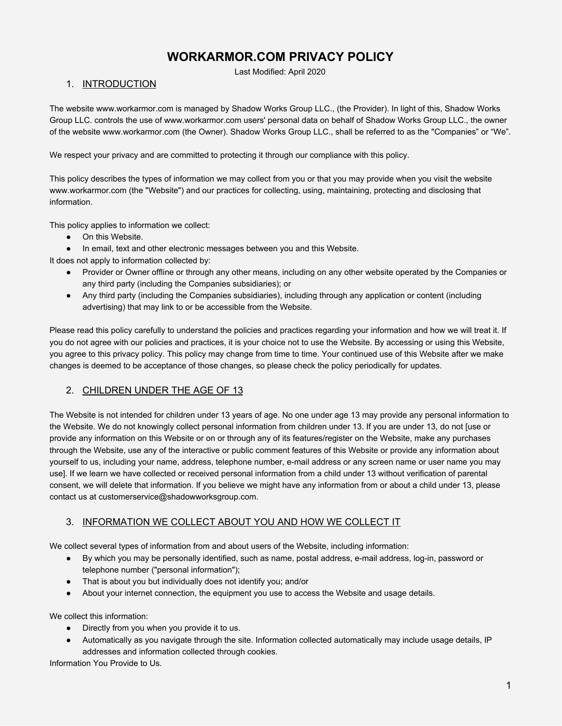# **WORKARMOR.COM PRIVACY POLICY**

Last Modified: April 2020

### 1. INTRODUCTION

The website www.workarmor.com is managed by Shadow Works Group LLC., (the Provider). In light of this, Shadow Works Group LLC. controls the use of www.workarmor.com users' personal data on behalf of Shadow Works Group LLC., the owner of the website www.workarmor.com (the Owner). Shadow Works Group LLC., shall be referred to as the "Companies" or "We".

We respect your privacy and are committed to protecting it through our compliance with this policy.

This policy describes the types of information we may collect from you or that you may provide when you visit the website www.workarmor.com (the "Website") and our practices for collecting, using, maintaining, protecting and disclosing that information.

This policy applies to information we collect:

- On this Website.
- In email, text and other electronic messages between you and this Website.

It does not apply to information collected by:

- Provider or Owner offline or through any other means, including on any other website operated by the Companies or any third party (including the Companies subsidiaries); or
- Any third party (including the Companies subsidiaries), including through any application or content (including advertising) that may link to or be accessible from the Website.

Please read this policy carefully to understand the policies and practices regarding your information and how we will treat it. If you do not agree with our policies and practices, it is your choice not to use the Website. By accessing or using this Website, you agree to this privacy policy. This policy may change from time to time. Your continued use of this Website after we make changes is deemed to be acceptance of those changes, so please check the policy periodically for updates.

# 2. CHILDREN UNDER THE AGE OF 13

The Website is not intended for children under 13 years of age. No one under age 13 may provide any personal information to the Website. We do not knowingly collect personal information from children under 13. If you are under 13, do not [use or provide any information on this Website or on or through any of its features/register on the Website, make any purchases through the Website, use any of the interactive or public comment features of this Website or provide any information about yourself to us, including your name, address, telephone number, e-mail address or any screen name or user name you may use]. If we learn we have collected or received personal information from a child under 13 without verification of parental consent, we will delete that information. If you believe we might have any information from or about a child under 13, please contact us at customerservice@shadowworksgroup.com.

# 3. INFORMATION WE COLLECT ABOUT YOU AND HOW WE COLLECT IT

We collect several types of information from and about users of the Website, including information:

- By which you may be personally identified, such as name, postal address, e-mail address, log-in, password or telephone number ("personal information");
- That is about you but individually does not identify you; and/or
- About your internet connection, the equipment you use to access the Website and usage details.

We collect this information:

- Directly from you when you provide it to us.
- Automatically as you navigate through the site. Information collected automatically may include usage details, IP addresses and information collected through cookies.

Information You Provide to Us.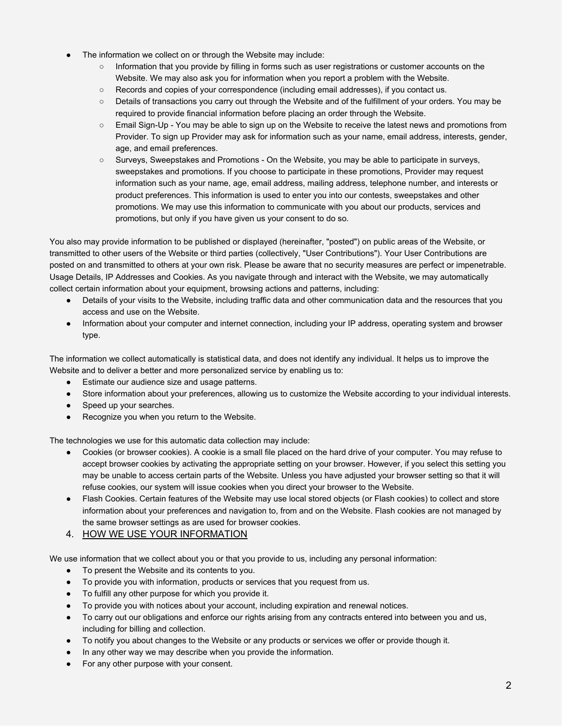- The information we collect on or through the Website may include:
	- Information that you provide by filling in forms such as user registrations or customer accounts on the Website. We may also ask you for information when you report a problem with the Website.
	- Records and copies of your correspondence (including email addresses), if you contact us.
	- Details of transactions you carry out through the Website and of the fulfillment of your orders. You may be required to provide financial information before placing an order through the Website.
	- Email Sign-Up You may be able to sign up on the Website to receive the latest news and promotions from Provider. To sign up Provider may ask for information such as your name, email address, interests, gender, age, and email preferences.
	- Surveys, Sweepstakes and Promotions On the Website, you may be able to participate in surveys, sweepstakes and promotions. If you choose to participate in these promotions, Provider may request information such as your name, age, email address, mailing address, telephone number, and interests or product preferences. This information is used to enter you into our contests, sweepstakes and other promotions. We may use this information to communicate with you about our products, services and promotions, but only if you have given us your consent to do so.

You also may provide information to be published or displayed (hereinafter, "posted") on public areas of the Website, or transmitted to other users of the Website or third parties (collectively, "User Contributions"). Your User Contributions are posted on and transmitted to others at your own risk. Please be aware that no security measures are perfect or impenetrable. Usage Details, IP Addresses and Cookies. As you navigate through and interact with the Website, we may automatically collect certain information about your equipment, browsing actions and patterns, including:

- Details of your visits to the Website, including traffic data and other communication data and the resources that you access and use on the Website.
- Information about your computer and internet connection, including your IP address, operating system and browser type.

The information we collect automatically is statistical data, and does not identify any individual. It helps us to improve the Website and to deliver a better and more personalized service by enabling us to:

- Estimate our audience size and usage patterns.
- Store information about your preferences, allowing us to customize the Website according to your individual interests.
- Speed up your searches.
- Recognize you when you return to the Website.

The technologies we use for this automatic data collection may include:

- Cookies (or browser cookies). A cookie is a small file placed on the hard drive of your computer. You may refuse to accept browser cookies by activating the appropriate setting on your browser. However, if you select this setting you may be unable to access certain parts of the Website. Unless you have adjusted your browser setting so that it will refuse cookies, our system will issue cookies when you direct your browser to the Website.
- Flash Cookies. Certain features of the Website may use local stored objects (or Flash cookies) to collect and store information about your preferences and navigation to, from and on the Website. Flash cookies are not managed by the same browser settings as are used for browser cookies.

# 4. HOW WE USE YOUR INFORMATION

We use information that we collect about you or that you provide to us, including any personal information:

- To present the Website and its contents to you.
- To provide you with information, products or services that you request from us.
- To fulfill any other purpose for which you provide it.
- To provide you with notices about your account, including expiration and renewal notices.
- To carry out our obligations and enforce our rights arising from any contracts entered into between you and us, including for billing and collection.
- To notify you about changes to the Website or any products or services we offer or provide though it.
- In any other way we may describe when you provide the information.
- For any other purpose with your consent.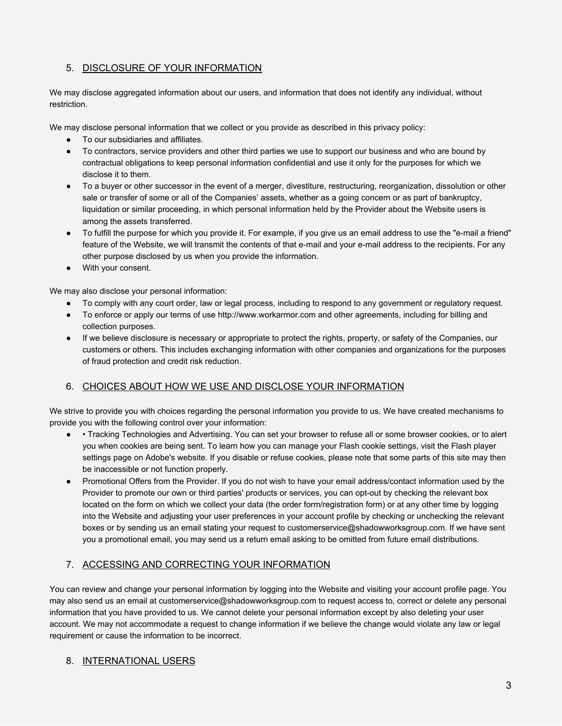# 5. DISCLOSURE OF YOUR INFORMATION

We may disclose aggregated information about our users, and information that does not identify any individual, without restriction.

We may disclose personal information that we collect or you provide as described in this privacy policy:

- To our subsidiaries and affiliates.
- To contractors, service providers and other third parties we use to support our business and who are bound by contractual obligations to keep personal information confidential and use it only for the purposes for which we disclose it to them.
- To a buyer or other successor in the event of a merger, divestiture, restructuring, reorganization, dissolution or other sale or transfer of some or all of the Companies' assets, whether as a going concern or as part of bankruptcy, liquidation or similar proceeding, in which personal information held by the Provider about the Website users is among the assets transferred.
- To fulfill the purpose for which you provide it. For example, if you give us an email address to use the "e-mail a friend" feature of the Website, we will transmit the contents of that e-mail and your e-mail address to the recipients. For any other purpose disclosed by us when you provide the information.
- With your consent.

We may also disclose your personal information:

- To comply with any court order, law or legal process, including to respond to any government or regulatory request.
- To enforce or apply our terms of use http://www.workarmor.com and other agreements, including for billing and collection purposes.
- If we believe disclosure is necessary or appropriate to protect the rights, property, or safety of the Companies, our customers or others. This includes exchanging information with other companies and organizations for the purposes of fraud protection and credit risk reduction.

#### 6. CHOICES ABOUT HOW WE USE AND DISCLOSE YOUR INFORMATION

We strive to provide you with choices regarding the personal information you provide to us. We have created mechanisms to provide you with the following control over your information:

- Tracking Technologies and Advertising. You can set your browser to refuse all or some browser cookies, or to alert you when cookies are being sent. To learn how you can manage your Flash cookie settings, visit the Flash player settings page on Adobe's website. If you disable or refuse cookies, please note that some parts of this site may then be inaccessible or not function properly.
- Promotional Offers from the Provider. If you do not wish to have your email address/contact information used by the Provider to promote our own or third parties' products or services, you can opt-out by checking the relevant box located on the form on which we collect your data (the order form/registration form) or at any other time by logging into the Website and adjusting your user preferences in your account profile by checking or unchecking the relevant boxes or by sending us an email stating your request to customerservice@shadowworksgroup.com. If we have sent you a promotional email, you may send us a return email asking to be omitted from future email distributions.

# 7. ACCESSING AND CORRECTING YOUR INFORMATION

You can review and change your personal information by logging into the Website and visiting your account profile page. You may also send us an email at customerservice@shadowworksgroup.com to request access to, correct or delete any personal information that you have provided to us. We cannot delete your personal information except by also deleting your user account. We may not accommodate a request to change information if we believe the change would violate any law or legal requirement or cause the information to be incorrect.

# 8. INTERNATIONAL USERS